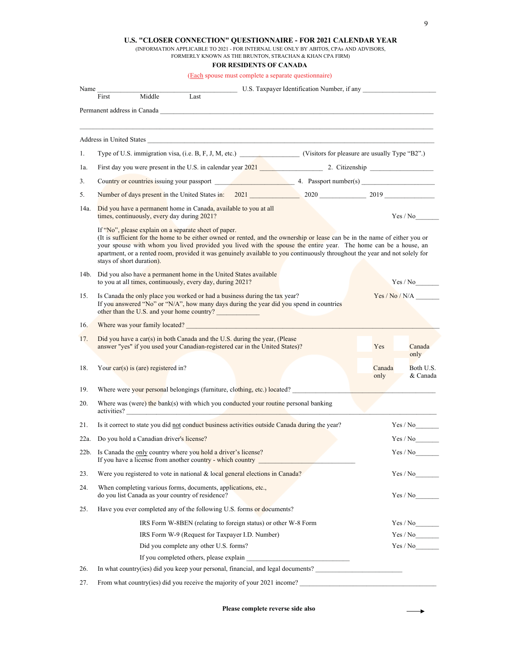## **U.S. "CLOSER CONNECTION" QUESTIONNAIRE - FOR 2021 CALENDAR YEAR**

(INFORMATION APPLICABLE TO 2021 - FOR INTERNAL USE ONLY BY ABITOS, CPAs AND ADVISORS,

FORMERLY KNOWN AS THE BRUNTON, STRACHAN & KHAN CPA FIRM)

## **FOR RESIDENTS OF CANADA**

(Each spouse must complete a separate questionnaire)

| Name | U.S. Taxpayer Identification Number, if any                                                                                                                                                                                                                                                                                                                                                                                                                         |                |                       |  |
|------|---------------------------------------------------------------------------------------------------------------------------------------------------------------------------------------------------------------------------------------------------------------------------------------------------------------------------------------------------------------------------------------------------------------------------------------------------------------------|----------------|-----------------------|--|
|      | Middle<br>Last<br>First                                                                                                                                                                                                                                                                                                                                                                                                                                             |                |                       |  |
|      | Permanent address in Canada <b>and a contract of the contract of the contract of the contract of the contract of the contract of the contract of the contract of the contract of the contract of the contract of the contract of</b>                                                                                                                                                                                                                                |                |                       |  |
|      | Address in United States                                                                                                                                                                                                                                                                                                                                                                                                                                            |                |                       |  |
| 1.   | Type of U.S. immigration visa, (i.e. B, F, J, M, etc.) (Visitors for pleasure are usually Type "B2".)                                                                                                                                                                                                                                                                                                                                                               |                |                       |  |
| 1a.  | First day you were present in the U.S. in calendar year 2021 2. Citizenship 2. Citizenship                                                                                                                                                                                                                                                                                                                                                                          |                |                       |  |
| 3.   |                                                                                                                                                                                                                                                                                                                                                                                                                                                                     |                |                       |  |
| 5.   | Number of days present in the United States in: 2021 2020 2020 2019 2019                                                                                                                                                                                                                                                                                                                                                                                            |                |                       |  |
| 14a. | Did you have a permanent home in Canada, available to you at all<br>times, continuously, every day during 2021?                                                                                                                                                                                                                                                                                                                                                     |                | Yes / No              |  |
|      | If "No", please explain on a separate sheet of paper.<br>(It is sufficient for the home to be either owned or rented, and the ownership or lease can be in the name of either you or<br>your spouse with whom you lived provided you lived with the spouse the entire year. The home can be a house, an<br>apartment, or a rented room, provided it was genuinely available to you continuously throughout the year and not solely for<br>stays of short duration). |                |                       |  |
| 14b. | Did you also have a permanent home in the United States available<br>to you at all times, continuously, every day, during 2021?                                                                                                                                                                                                                                                                                                                                     |                | Yes / No              |  |
| 15.  | Is Canada the only place you worked or had a business during the tax year?<br>If you answered "No" or "N/A", how many days during the year did you spend in countries<br>other than the U.S. and your home country?                                                                                                                                                                                                                                                 |                | Yes / No / N/A        |  |
| 16.  | Where was your family located? The contract of the contract of the contract of the contract of the contract of the contract of the contract of the contract of the contract of the contract of the contract of the contract of                                                                                                                                                                                                                                      |                |                       |  |
| 17.  | Did you have a car(s) in both Canada and the U.S. during the year, (Please<br>answer "yes" if you used your Canadian-registered car in the United States)?                                                                                                                                                                                                                                                                                                          | Yes            | Canada<br>only        |  |
| 18.  | Your car(s) is (are) registered in?                                                                                                                                                                                                                                                                                                                                                                                                                                 | Canada<br>only | Both U.S.<br>& Canada |  |
| 19.  | Where were your personal belongings (furniture, clothing, etc.) located?                                                                                                                                                                                                                                                                                                                                                                                            |                |                       |  |
| 20.  | Where was (were) the bank(s) with which you conducted your routine personal banking<br>activities?                                                                                                                                                                                                                                                                                                                                                                  |                |                       |  |
| 21.  | Is it correct to state you did not conduct business activities outside Canada during the year?                                                                                                                                                                                                                                                                                                                                                                      |                | Yes / No              |  |
| 22a. | Do you hold a Canadian driver's license?                                                                                                                                                                                                                                                                                                                                                                                                                            |                | Yes / No              |  |
|      | 22b. Is Canada the only country where you hold a driver's license?<br>If you have a license from another country - which country _                                                                                                                                                                                                                                                                                                                                  |                | Yes / No              |  |
| 23.  | Were you registered to vote in national & local general elections in Canada?                                                                                                                                                                                                                                                                                                                                                                                        |                | Yes / No              |  |
| 24.  | When completing various forms, documents, applications, etc.,<br>do you list Canada as your country of residence?                                                                                                                                                                                                                                                                                                                                                   |                | Yes / No              |  |
| 25.  | Have you ever completed any of the following U.S. forms or documents?                                                                                                                                                                                                                                                                                                                                                                                               |                |                       |  |
|      | IRS Form W-8BEN (relating to foreign status) or other W-8 Form                                                                                                                                                                                                                                                                                                                                                                                                      |                | Yes / No              |  |
|      | IRS Form W-9 (Request for Taxpayer I.D. Number)                                                                                                                                                                                                                                                                                                                                                                                                                     |                | Yes / No              |  |
|      | Did you complete any other U.S. forms?                                                                                                                                                                                                                                                                                                                                                                                                                              |                | Yes / No              |  |
|      |                                                                                                                                                                                                                                                                                                                                                                                                                                                                     |                |                       |  |
| 26.  | In what country(ies) did you keep your personal, financial, and legal documents?                                                                                                                                                                                                                                                                                                                                                                                    |                |                       |  |
| 27.  | From what country(ies) did you receive the majority of your 2021 income?                                                                                                                                                                                                                                                                                                                                                                                            |                |                       |  |

**Please complete reverse side also**